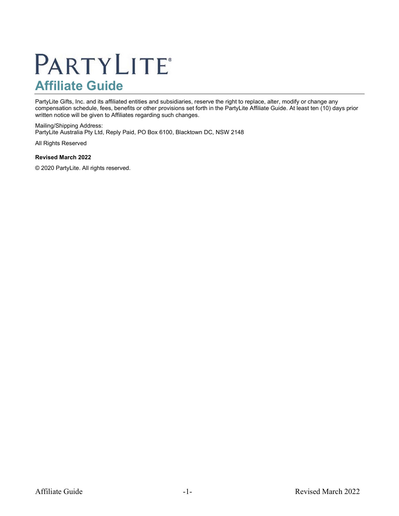# **PARTYLITE®** Affiliate Guide

PartyLite Gifts, Inc. and its affiliated entities and subsidiaries, reserve the right to replace, alter, modify or change any compensation schedule, fees, benefits or other provisions set forth in the PartyLite Affiliate Guide. At least ten (10) days prior written notice will be given to Affiliates regarding such changes.

Mailing/Shipping Address: PartyLite Australia Pty Ltd, Reply Paid, PO Box 6100, Blacktown DC, NSW 2148

All Rights Reserved

#### Revised March 2022

© 2020 PartyLite. All rights reserved.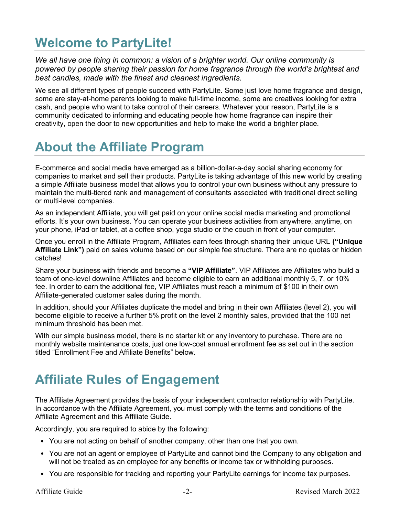# Welcome to PartyLite!

We all have one thing in common: a vision of a brighter world. Our online community is powered by people sharing their passion for home fragrance through the world's brightest and best candles, made with the finest and cleanest ingredients.

We see all different types of people succeed with PartyLite. Some just love home fragrance and design, some are stay-at-home parents looking to make full-time income, some are creatives looking for extra cash, and people who want to take control of their careers. Whatever your reason, PartyLite is a community dedicated to informing and educating people how home fragrance can inspire their creativity, open the door to new opportunities and help to make the world a brighter place.

# About the Affiliate Program

E-commerce and social media have emerged as a billion-dollar-a-day social sharing economy for companies to market and sell their products. PartyLite is taking advantage of this new world by creating a simple Affiliate business model that allows you to control your own business without any pressure to maintain the multi-tiered rank and management of consultants associated with traditional direct selling or multi-level companies.

As an independent Affiliate, you will get paid on your online social media marketing and promotional efforts. It's your own business. You can operate your business activities from anywhere, anytime, on your phone, iPad or tablet, at a coffee shop, yoga studio or the couch in front of your computer.

Once you enroll in the Affiliate Program, Affiliates earn fees through sharing their unique URL ("Unique Affiliate Link") paid on sales volume based on our simple fee structure. There are no quotas or hidden catches!

Share your business with friends and become a "VIP Affiliate". VIP Affiliates are Affiliates who build a team of one-level downline Affiliates and become eligible to earn an additional monthly 5, 7, or 10% fee. In order to earn the additional fee, VIP Affiliates must reach a minimum of \$100 in their own Affiliate-generated customer sales during the month.

In addition, should your Affiliates duplicate the model and bring in their own Affiliates (level 2), you will become eligible to receive a further 5% profit on the level 2 monthly sales, provided that the 100 net minimum threshold has been met.

With our simple business model, there is no starter kit or any inventory to purchase. There are no monthly website maintenance costs, just one low-cost annual enrollment fee as set out in the section titled "Enrollment Fee and Affiliate Benefits" below.

# Affiliate Rules of Engagement

The Affiliate Agreement provides the basis of your independent contractor relationship with PartyLite. In accordance with the Affiliate Agreement, you must comply with the terms and conditions of the Affiliate Agreement and this Affiliate Guide.

Accordingly, you are required to abide by the following:

- You are not acting on behalf of another company, other than one that you own.
- You are not an agent or employee of PartyLite and cannot bind the Company to any obligation and will not be treated as an employee for any benefits or income tax or withholding purposes.
- You are responsible for tracking and reporting your PartyLite earnings for income tax purposes.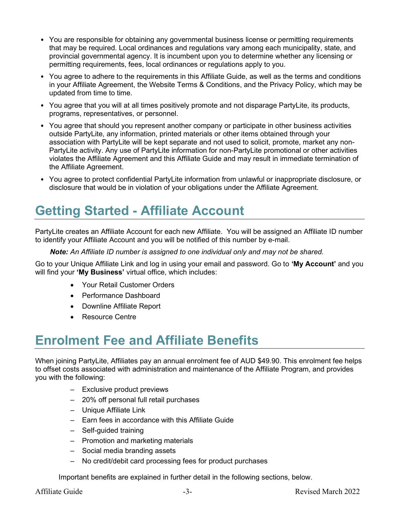- You are responsible for obtaining any governmental business license or permitting requirements that may be required. Local ordinances and regulations vary among each municipality, state, and provincial governmental agency. It is incumbent upon you to determine whether any licensing or permitting requirements, fees, local ordinances or regulations apply to you.
- You agree to adhere to the requirements in this Affiliate Guide, as well as the terms and conditions in your Affiliate Agreement, the Website Terms & Conditions, and the Privacy Policy, which may be updated from time to time.
- You agree that you will at all times positively promote and not disparage PartyLite, its products, programs, representatives, or personnel.
- You agree that should you represent another company or participate in other business activities outside PartyLite, any information, printed materials or other items obtained through your association with PartyLite will be kept separate and not used to solicit, promote, market any non-PartyLite activity. Any use of PartyLite information for non-PartyLite promotional or other activities violates the Affiliate Agreement and this Affiliate Guide and may result in immediate termination of the Affiliate Agreement.
- You agree to protect confidential PartyLite information from unlawful or inappropriate disclosure, or disclosure that would be in violation of your obligations under the Affiliate Agreement.

# Getting Started - Affiliate Account

PartyLite creates an Affiliate Account for each new Affiliate. You will be assigned an Affiliate ID number to identify your Affiliate Account and you will be notified of this number by e-mail.

Note: An Affiliate ID number is assigned to one individual only and may not be shared.

Go to your Unique Affiliate Link and log in using your email and password. Go to 'My Account' and you will find your 'My Business' virtual office, which includes:

- Your Retail Customer Orders
- Performance Dashboard
- Downline Affiliate Report
- Resource Centre

# Enrolment Fee and Affiliate Benefits

When joining PartyLite, Affiliates pay an annual enrolment fee of AUD \$49.90. This enrolment fee helps to offset costs associated with administration and maintenance of the Affiliate Program, and provides you with the following:

- Exclusive product previews
- 20% off personal full retail purchases
- Unique Affiliate Link
- Earn fees in accordance with this Affiliate Guide
- Self-guided training
- Promotion and marketing materials
- Social media branding assets
- No credit/debit card processing fees for product purchases

Important benefits are explained in further detail in the following sections, below.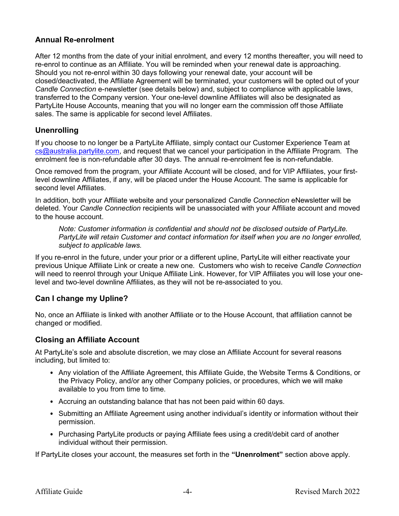### Annual Re-enrolment

After 12 months from the date of your initial enrolment, and every 12 months thereafter, you will need to re-enrol to continue as an Affiliate. You will be reminded when your renewal date is approaching. Should you not re-enrol within 30 days following your renewal date, your account will be closed/deactivated, the Affiliate Agreement will be terminated, your customers will be opted out of your Candle Connection e-newsletter (see details below) and, subject to compliance with applicable laws, transferred to the Company version. Your one-level downline Affiliates will also be designated as PartyLite House Accounts, meaning that you will no longer earn the commission off those Affiliate sales. The same is applicable for second level Affiliates.

### **Unenrolling**

If you choose to no longer be a PartyLite Affiliate, simply contact our Customer Experience Team at cs@australia.partylite.com, and request that we cancel your participation in the Affiliate Program. The enrolment fee is non-refundable after 30 days. The annual re-enrolment fee is non-refundable.

Once removed from the program, your Affiliate Account will be closed, and for VIP Affiliates, your firstlevel downline Affiliates, if any, will be placed under the House Account. The same is applicable for second level Affiliates.

In addition, both your Affiliate website and your personalized Candle Connection eNewsletter will be deleted. Your Candle Connection recipients will be unassociated with your Affiliate account and moved to the house account.

Note: Customer information is confidential and should not be disclosed outside of PartyLite. PartyLite will retain Customer and contact information for itself when you are no longer enrolled, subject to applicable laws.

If you re-enrol in the future, under your prior or a different upline, PartyLite will either reactivate your previous Unique Affiliate Link or create a new one. Customers who wish to receive Candle Connection will need to reenrol through your Unique Affiliate Link. However, for VIP Affiliates you will lose your onelevel and two-level downline Affiliates, as they will not be re-associated to you.

### Can I change my Upline?

No, once an Affiliate is linked with another Affiliate or to the House Account, that affiliation cannot be changed or modified.

### Closing an Affiliate Account

At PartyLite's sole and absolute discretion, we may close an Affiliate Account for several reasons including, but limited to:

- Any violation of the Affiliate Agreement, this Affiliate Guide, the Website Terms & Conditions, or the Privacy Policy, and/or any other Company policies, or procedures, which we will make available to you from time to time.
- Accruing an outstanding balance that has not been paid within 60 days.
- Submitting an Affiliate Agreement using another individual's identity or information without their permission.
- Purchasing PartyLite products or paying Affiliate fees using a credit/debit card of another individual without their permission.

If PartyLite closes your account, the measures set forth in the "Unenrolment" section above apply.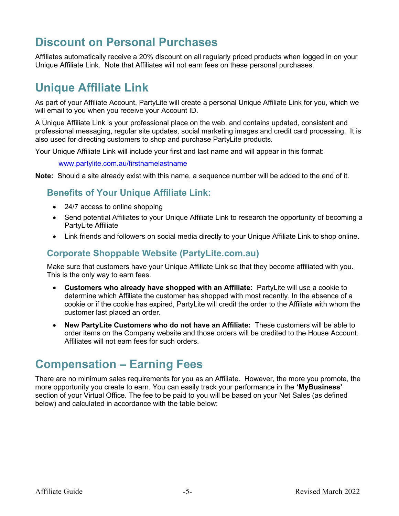### Discount on Personal Purchases

Affiliates automatically receive a 20% discount on all regularly priced products when logged in on your Unique Affiliate Link. Note that Affiliates will not earn fees on these personal purchases.

### Unique Affiliate Link

As part of your Affiliate Account, PartyLite will create a personal Unique Affiliate Link for you, which we will email to you when you receive your Account ID.

A Unique Affiliate Link is your professional place on the web, and contains updated, consistent and professional messaging, regular site updates, social marketing images and credit card processing. It is also used for directing customers to shop and purchase PartyLite products.

Your Unique Affiliate Link will include your first and last name and will appear in this format:

www.partylite.com.au/firstnamelastname

Note: Should a site already exist with this name, a sequence number will be added to the end of it.

### Benefits of Your Unique Affiliate Link:

- 24/7 access to online shopping
- Send potential Affiliates to your Unique Affiliate Link to research the opportunity of becoming a PartyLite Affiliate
- Link friends and followers on social media directly to your Unique Affiliate Link to shop online.

### Corporate Shoppable Website (PartyLite.com.au)

Make sure that customers have your Unique Affiliate Link so that they become affiliated with you. This is the only way to earn fees.

- Customers who already have shopped with an Affiliate: PartyLite will use a cookie to determine which Affiliate the customer has shopped with most recently. In the absence of a cookie or if the cookie has expired, PartyLite will credit the order to the Affiliate with whom the customer last placed an order.
- New PartyLite Customers who do not have an Affiliate: These customers will be able to order items on the Company website and those orders will be credited to the House Account. Affiliates will not earn fees for such orders.

### Compensation – Earning Fees

There are no minimum sales requirements for you as an Affiliate. However, the more you promote, the more opportunity you create to earn. You can easily track your performance in the 'MyBusiness' section of your Virtual Office. The fee to be paid to you will be based on your Net Sales (as defined below) and calculated in accordance with the table below: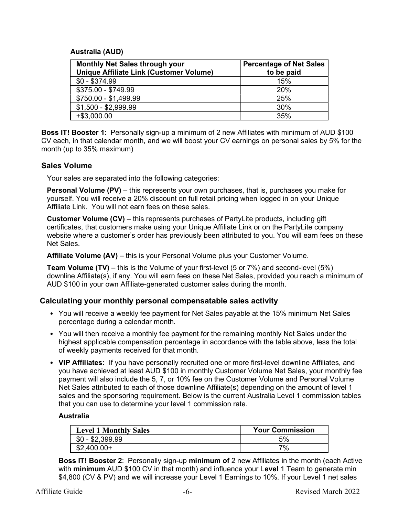### Australia (AUD)

| <b>Monthly Net Sales through your</b><br><b>Unique Affiliate Link (Customer Volume)</b> | <b>Percentage of Net Sales</b><br>to be paid |
|-----------------------------------------------------------------------------------------|----------------------------------------------|
| $$0 - $374.99$                                                                          | 15%                                          |
| \$375.00 - \$749.99                                                                     | 20%                                          |
| \$750.00 - \$1,499.99                                                                   | 25%                                          |
| $$1,500 - $2,999.99$                                                                    | 30%                                          |
| +\$3,000.00                                                                             | 35%                                          |

Boss IT! Booster 1: Personally sign-up a minimum of 2 new Affiliates with minimum of AUD \$100 CV each, in that calendar month, and we will boost your CV earnings on personal sales by 5% for the month (up to 35% maximum)

### Sales Volume

Your sales are separated into the following categories:

Personal Volume (PV) – this represents your own purchases, that is, purchases you make for yourself. You will receive a 20% discount on full retail pricing when logged in on your Unique Affiliate Link. You will not earn fees on these sales.

Customer Volume (CV) – this represents purchases of PartyLite products, including gift certificates, that customers make using your Unique Affiliate Link or on the PartyLite company website where a customer's order has previously been attributed to you. You will earn fees on these Net Sales.

Affiliate Volume (AV) – this is your Personal Volume plus your Customer Volume.

Team Volume (TV) – this is the Volume of your first-level (5 or 7%) and second-level (5%) downline Affiliate(s), if any. You will earn fees on these Net Sales, provided you reach a minimum of AUD \$100 in your own Affiliate-generated customer sales during the month.

### Calculating your monthly personal compensatable sales activity

- You will receive a weekly fee payment for Net Sales payable at the 15% minimum Net Sales percentage during a calendar month.
- You will then receive a monthly fee payment for the remaining monthly Net Sales under the highest applicable compensation percentage in accordance with the table above, less the total of weekly payments received for that month.
- VIP Affiliates: If you have personally recruited one or more first-level downline Affiliates, and you have achieved at least AUD \$100 in monthly Customer Volume Net Sales, your monthly fee payment will also include the 5, 7, or 10% fee on the Customer Volume and Personal Volume Net Sales attributed to each of those downline Affiliate(s) depending on the amount of level 1 sales and the sponsoring requirement. Below is the current Australia Level 1 commission tables that you can use to determine your level 1 commission rate.

#### Australia

| <b>Level 1 Monthly Sales</b> | <b>Your Commission</b> |
|------------------------------|------------------------|
| $$0 - $2,399.99$             | 5%                     |
| $$2,400.00+$                 | 7%                     |

**Boss IT! Booster 2:** Personally sign-up **minimum of** 2 new Affiliates in the month (each Active with **minimum** AUD \$100 CV in that month) and influence your Level 1 Team to generate min \$4,800 (CV & PV) and we will increase your Level 1 Earnings to 10%. If your Level 1 net sales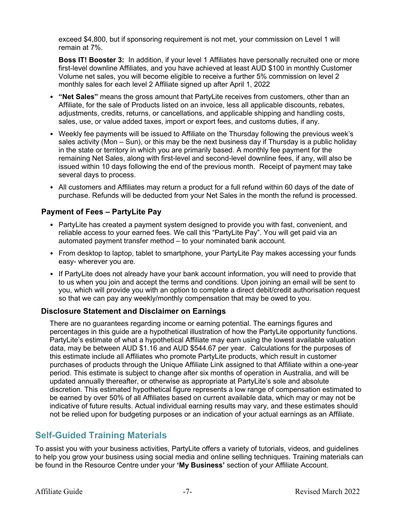exceed \$4,800, but if sponsoring requirement is not met, your commission on Level 1 will remain at 7%.

**Boss IT! Booster 3:** In addition, if your level 1 Affiliates have personally recruited one or more first-level downline Affiliates, and you have achieved at least AUD \$100 in monthly Customer Volume net sales, you will become eligible to receive a further 5% commission on level 2 monthly sales for each level 2 Affiliate signed up after April 1, 2022

- "Net Sales" means the gross amount that PartyLite receives from customers, other than an Affiliate, for the sale of Products listed on an invoice, less all applicable discounts, rebates, adjustments, credits, returns, or cancellations, and applicable shipping and handling costs, sales, use, or value added taxes, import or export fees, and customs duties, if any.
- Weekly fee payments will be issued to Affiliate on the Thursday following the previous week's sales activity (Mon – Sun), or this may be the next business day if Thursday is a public holiday in the state or territory in which you are primarily based. A monthly fee payment for the remaining Net Sales, along with first-level and second-level downline fees, if any, will also be issued within 10 days following the end of the previous month. Receipt of payment may take several days to process.
- All customers and Affiliates may return a product for a full refund within 60 days of the date of purchase. Refunds will be deducted from your Net Sales in the month the refund is processed.

### Payment of Fees – PartyLite Pay

- PartyLite has created a payment system designed to provide you with fast, convenient, and reliable access to your earned fees. We call this "PartyLite Pay". You will get paid via an automated payment transfer method – to your nominated bank account.
- From desktop to laptop, tablet to smartphone, your PartyLite Pay makes accessing your funds easy- wherever you are.
- If PartyLite does not already have your bank account information, you will need to provide that to us when you join and accept the terms and conditions. Upon joining an email will be sent to you, which will provide you with an option to complete a direct debit/credit authorisation request so that we can pay any weekly/monthly compensation that may be owed to you.

### Disclosure Statement and Disclaimer on Earnings

There are no guarantees regarding income or earning potential. The earnings figures and percentages in this guide are a hypothetical illustration of how the PartyLite opportunity functions. PartyLite's estimate of what a hypothetical Affiliate may earn using the lowest available valuation data, may be between AUD \$1.16 and AUD \$544.67 per year. Calculations for the purposes of this estimate include all Affiliates who promote PartyLite products, which result in customer purchases of products through the Unique Affiliate Link assigned to that Affiliate within a one-year period. This estimate is subject to change after six months of operation in Australia, and will be updated annually thereafter, or otherwise as appropriate at PartyLite's sole and absolute discretion. This estimated hypothetical figure represents a low range of compensation estimated to be earned by over 50% of all Affiliates based on current available data, which may or may not be indicative of future results. Actual individual earning results may vary, and these estimates should not be relied upon for budgeting purposes or an indication of your actual earnings as an Affiliate.

### Self-Guided Training Materials

To assist you with your business activities, PartyLite offers a variety of tutorials, videos, and guidelines to help you grow your business using social media and online selling techniques. Training materials can be found in the Resource Centre under your 'My Business' section of your Affiliate Account.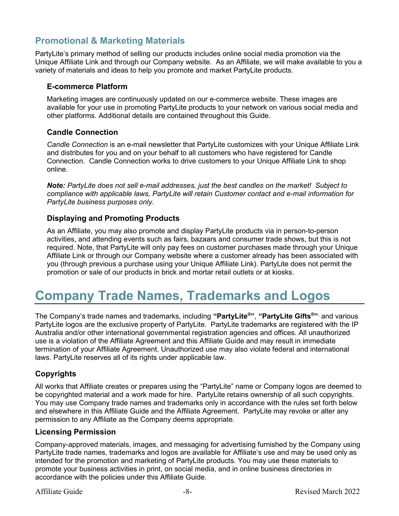### Promotional & Marketing Materials

PartyLite's primary method of selling our products includes online social media promotion via the Unique Affiliate Link and through our Company website. As an Affiliate, we will make available to you a variety of materials and ideas to help you promote and market PartyLite products.

### E-commerce Platform

Marketing images are continuously updated on our e-commerce website. These images are available for your use in promoting PartyLite products to your network on various social media and other platforms. Additional details are contained throughout this Guide.

### Candle Connection

Candle Connection is an e-mail newsletter that PartyLite customizes with your Unique Affiliate Link and distributes for you and on your behalf to all customers who have registered for Candle Connection. Candle Connection works to drive customers to your Unique Affiliate Link to shop online.

Note: PartyLite does not sell e-mail addresses, just the best candles on the market! Subject to compliance with applicable laws, PartyLite will retain Customer contact and e-mail information for PartyLite business purposes only.

### Displaying and Promoting Products

As an Affiliate, you may also promote and display PartyLite products via in person-to-person activities, and attending events such as fairs, bazaars and consumer trade shows, but this is not required. Note, that PartyLite will only pay fees on customer purchases made through your Unique Affiliate Link or through our Company website where a customer already has been associated with you (through previous a purchase using your Unique Affiliate Link). PartyLite does not permit the promotion or sale of our products in brick and mortar retail outlets or at kiosks.

### Company Trade Names, Trademarks and Logos

The Company's trade names and trademarks, including "**PartyLite®", "PartyLite Gifts<sup>®</sup>"**<sup>,</sup> and various PartyLite logos are the exclusive property of PartyLite. PartyLite trademarks are registered with the IP Australia and/or other international governmental registration agencies and offices. All unauthorized use is a violation of the Affiliate Agreement and this Affiliate Guide and may result in immediate termination of your Affiliate Agreement. Unauthorized use may also violate federal and international laws. PartyLite reserves all of its rights under applicable law.

### Copyrights

All works that Affiliate creates or prepares using the "PartyLite" name or Company logos are deemed to be copyrighted material and a work made for hire. PartyLite retains ownership of all such copyrights. You may use Company trade names and trademarks only in accordance with the rules set forth below and elsewhere in this Affiliate Guide and the Affiliate Agreement. PartyLite may revoke or alter any permission to any Affiliate as the Company deems appropriate.

### Licensing Permission

Company-approved materials, images, and messaging for advertising furnished by the Company using PartyLite trade names, trademarks and logos are available for Affiliate's use and may be used only as intended for the promotion and marketing of PartyLite products. You may use these materials to promote your business activities in print, on social media, and in online business directories in accordance with the policies under this Affiliate Guide.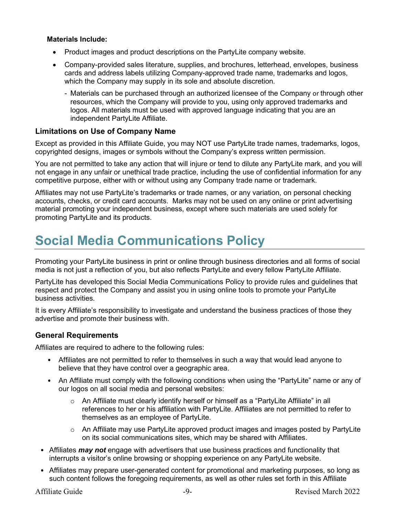### Materials Include:

- Product images and product descriptions on the PartyLite company website.
- Company-provided sales literature, supplies, and brochures, letterhead, envelopes, business cards and address labels utilizing Company-approved trade name, trademarks and logos, which the Company may supply in its sole and absolute discretion.
	- Materials can be purchased through an authorized licensee of the Company or through other resources, which the Company will provide to you, using only approved trademarks and logos. All materials must be used with approved language indicating that you are an independent PartyLite Affiliate.

### Limitations on Use of Company Name

Except as provided in this Affiliate Guide, you may NOT use PartyLite trade names, trademarks, logos, copyrighted designs, images or symbols without the Company's express written permission.

You are not permitted to take any action that will injure or tend to dilute any PartyLite mark, and you will not engage in any unfair or unethical trade practice, including the use of confidential information for any competitive purpose, either with or without using any Company trade name or trademark.

Affiliates may not use PartyLite's trademarks or trade names, or any variation, on personal checking accounts, checks, or credit card accounts. Marks may not be used on any online or print advertising material promoting your independent business, except where such materials are used solely for promoting PartyLite and its products.

## Social Media Communications Policy

Promoting your PartyLite business in print or online through business directories and all forms of social media is not just a reflection of you, but also reflects PartyLite and every fellow PartyLite Affiliate.

PartyLite has developed this Social Media Communications Policy to provide rules and guidelines that respect and protect the Company and assist you in using online tools to promote your PartyLite business activities.

It is every Affiliate's responsibility to investigate and understand the business practices of those they advertise and promote their business with.

### General Requirements

Affiliates are required to adhere to the following rules:

- Affiliates are not permitted to refer to themselves in such a way that would lead anyone to believe that they have control over a geographic area.
- An Affiliate must comply with the following conditions when using the "PartyLite" name or any of our logos on all social media and personal websites:
	- $\circ$  An Affiliate must clearly identify herself or himself as a "PartyLite Affiliate" in all references to her or his affiliation with PartyLite. Affiliates are not permitted to refer to themselves as an employee of PartyLite.
	- $\circ$  An Affiliate may use PartyLite approved product images and images posted by PartyLite on its social communications sites, which may be shared with Affiliates.
- Affiliates *may not* engage with advertisers that use business practices and functionality that interrupts a visitor's online browsing or shopping experience on any PartyLite website.
- Affiliates may prepare user-generated content for promotional and marketing purposes, so long as such content follows the foregoing requirements, as well as other rules set forth in this Affiliate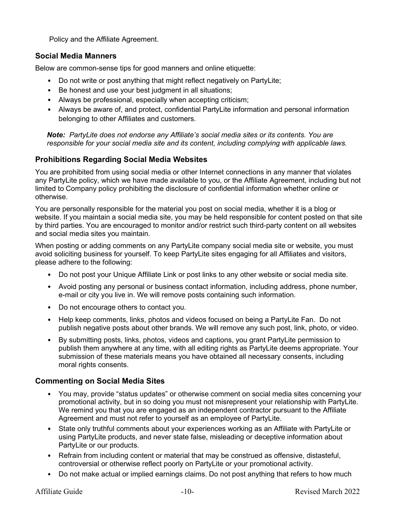Policy and the Affiliate Agreement.

### Social Media Manners

Below are common-sense tips for good manners and online etiquette:

- Do not write or post anything that might reflect negatively on PartyLite;
- Be honest and use your best judgment in all situations;
- Always be professional, especially when accepting criticism;
- Always be aware of, and protect, confidential PartyLite information and personal information belonging to other Affiliates and customers.

Note: PartyLite does not endorse any Affiliate's social media sites or its contents. You are responsible for your social media site and its content, including complying with applicable laws.

### Prohibitions Regarding Social Media Websites

You are prohibited from using social media or other Internet connections in any manner that violates any PartyLite policy, which we have made available to you, or the Affiliate Agreement, including but not limited to Company policy prohibiting the disclosure of confidential information whether online or otherwise.

You are personally responsible for the material you post on social media, whether it is a blog or website. If you maintain a social media site, you may be held responsible for content posted on that site by third parties. You are encouraged to monitor and/or restrict such third-party content on all websites and social media sites you maintain.

When posting or adding comments on any PartyLite company social media site or website, you must avoid soliciting business for yourself. To keep PartyLite sites engaging for all Affiliates and visitors, please adhere to the following:

- Do not post your Unique Affiliate Link or post links to any other website or social media site.
- Avoid posting any personal or business contact information, including address, phone number, e-mail or city you live in. We will remove posts containing such information.
- Do not encourage others to contact you.
- Help keep comments, links, photos and videos focused on being a PartyLite Fan. Do not publish negative posts about other brands. We will remove any such post, link, photo, or video.
- By submitting posts, links, photos, videos and captions, you grant PartyLite permission to publish them anywhere at any time, with all editing rights as PartyLite deems appropriate. Your submission of these materials means you have obtained all necessary consents, including moral rights consents.

### Commenting on Social Media Sites

- You may, provide "status updates" or otherwise comment on social media sites concerning your promotional activity, but in so doing you must not misrepresent your relationship with PartyLite. We remind you that you are engaged as an independent contractor pursuant to the Affiliate Agreement and must not refer to yourself as an employee of PartyLite.
- State only truthful comments about your experiences working as an Affiliate with PartyLite or using PartyLite products, and never state false, misleading or deceptive information about PartyLite or our products.
- Refrain from including content or material that may be construed as offensive, distasteful, controversial or otherwise reflect poorly on PartyLite or your promotional activity.
- Do not make actual or implied earnings claims. Do not post anything that refers to how much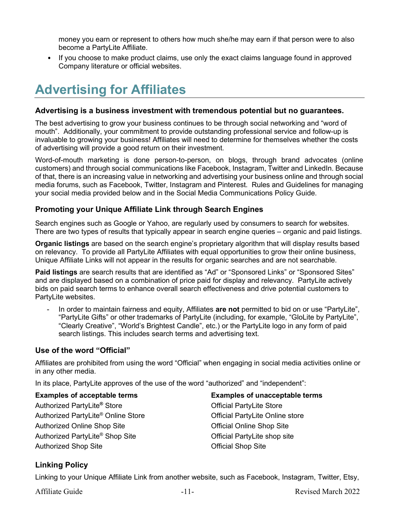money you earn or represent to others how much she/he may earn if that person were to also become a PartyLite Affiliate.

• If you choose to make product claims, use only the exact claims language found in approved Company literature or official websites.

# Advertising for Affiliates

### Advertising is a business investment with tremendous potential but no guarantees.

The best advertising to grow your business continues to be through social networking and "word of mouth". Additionally, your commitment to provide outstanding professional service and follow-up is invaluable to growing your business! Affiliates will need to determine for themselves whether the costs of advertising will provide a good return on their investment.

Word-of-mouth marketing is done person-to-person, on blogs, through brand advocates (online customers) and through social communications like Facebook, Instagram, Twitter and LinkedIn. Because of that, there is an increasing value in networking and advertising your business online and through social media forums, such as Facebook, Twitter, Instagram and Pinterest. Rules and Guidelines for managing your social media provided below and in the Social Media Communications Policy Guide.

### Promoting your Unique Affiliate Link through Search Engines

Search engines such as Google or Yahoo, are regularly used by consumers to search for websites. There are two types of results that typically appear in search engine queries – organic and paid listings.

Organic listings are based on the search engine's proprietary algorithm that will display results based on relevancy. To provide all PartyLite Affiliates with equal opportunities to grow their online business, Unique Affiliate Links will not appear in the results for organic searches and are not searchable.

Paid listings are search results that are identified as "Ad" or "Sponsored Links" or "Sponsored Sites" and are displayed based on a combination of price paid for display and relevancy. PartyLite actively bids on paid search terms to enhance overall search effectiveness and drive potential customers to PartyLite websites.

In order to maintain fairness and equity, Affiliates are not permitted to bid on or use "PartyLite", "PartyLite Gifts" or other trademarks of PartyLite (including, for example, "GloLite by PartyLite", "Clearly Creative", "World's Brightest Candle", etc.) or the PartyLite logo in any form of paid search listings. This includes search terms and advertising text.

### Use of the word "Official"

Affiliates are prohibited from using the word "Official" when engaging in social media activities online or in any other media.

In its place, PartyLite approves of the use of the word "authorized" and "independent":

Examples of acceptable terms Authorized PartyLite® Store Authorized PartyLite® Online Store Authorized Online Shop Site Authorized PartyLite® Shop Site Authorized Shop Site

Examples of unacceptable terms Official PartyLite Store Official PartyLite Online store Official Online Shop Site Official PartyLite shop site Official Shop Site

### Linking Policy

Linking to your Unique Affiliate Link from another website, such as Facebook, Instagram, Twitter, Etsy,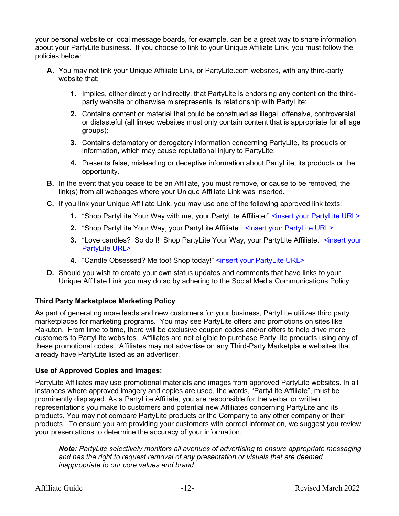your personal website or local message boards, for example, can be a great way to share information about your PartyLite business. If you choose to link to your Unique Affiliate Link, you must follow the policies below:

- A. You may not link your Unique Affiliate Link, or PartyLite.com websites, with any third-party website that:
	- 1. Implies, either directly or indirectly, that PartyLite is endorsing any content on the thirdparty website or otherwise misrepresents its relationship with PartyLite;
	- 2. Contains content or material that could be construed as illegal, offensive, controversial or distasteful (all linked websites must only contain content that is appropriate for all age groups);
	- 3. Contains defamatory or derogatory information concerning PartyLite, its products or information, which may cause reputational injury to PartyLite;
	- 4. Presents false, misleading or deceptive information about PartyLite, its products or the opportunity.
- **B.** In the event that you cease to be an Affiliate, you must remove, or cause to be removed, the link(s) from all webpages where your Unique Affiliate Link was inserted.
- C. If you link your Unique Affiliate Link, you may use one of the following approved link texts:
	- 1. "Shop PartyLite Your Way with me, your PartyLite Affiliate:" <insert your PartyLite URL>
	- 2. "Shop PartyLite Your Way, your PartyLite Affiliate." <insert your PartyLite URL>
	- 3. "Love candles? So do I! Shop PartyLite Your Way, your PartyLite Affiliate." <insert your PartyLite URL>
	- 4. "Candle Obsessed? Me too! Shop today!" <insert your PartyLite URL>
- D. Should you wish to create your own status updates and comments that have links to your Unique Affiliate Link you may do so by adhering to the Social Media Communications Policy

#### Third Party Marketplace Marketing Policy

As part of generating more leads and new customers for your business, PartyLite utilizes third party marketplaces for marketing programs. You may see PartyLite offers and promotions on sites like Rakuten. From time to time, there will be exclusive coupon codes and/or offers to help drive more customers to PartyLite websites. Affiliates are not eligible to purchase PartyLite products using any of these promotional codes. Affiliates may not advertise on any Third-Party Marketplace websites that already have PartyLite listed as an advertiser.

#### Use of Approved Copies and Images:

PartyLite Affiliates may use promotional materials and images from approved PartyLite websites. In all instances where approved imagery and copies are used, the words, "PartyLite Affiliate", must be prominently displayed. As a PartyLite Affiliate, you are responsible for the verbal or written representations you make to customers and potential new Affiliates concerning PartyLite and its products. You may not compare PartyLite products or the Company to any other company or their products. To ensure you are providing your customers with correct information, we suggest you review your presentations to determine the accuracy of your information.

Note: PartyLite selectively monitors all avenues of advertising to ensure appropriate messaging and has the right to request removal of any presentation or visuals that are deemed inappropriate to our core values and brand.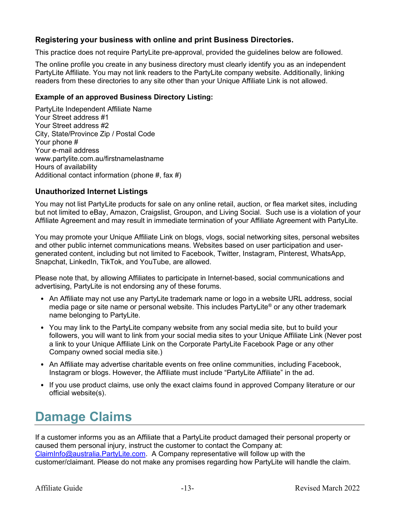### Registering your business with online and print Business Directories.

This practice does not require PartyLite pre-approval, provided the guidelines below are followed.

The online profile you create in any business directory must clearly identify you as an independent PartyLite Affiliate. You may not link readers to the PartyLite company website. Additionally, linking readers from these directories to any site other than your Unique Affiliate Link is not allowed.

### Example of an approved Business Directory Listing:

PartyLite Independent Affiliate Name Your Street address #1 Your Street address #2 City, State/Province Zip / Postal Code Your phone # Your e-mail address www.partylite.com.au/firstnamelastname Hours of availability Additional contact information (phone  $#$ , fax  $#$ )

### Unauthorized Internet Listings

You may not list PartyLite products for sale on any online retail, auction, or flea market sites, including but not limited to eBay, Amazon, Craigslist, Groupon, and Living Social. Such use is a violation of your Affiliate Agreement and may result in immediate termination of your Affiliate Agreement with PartyLite.

You may promote your Unique Affiliate Link on blogs, vlogs, social networking sites, personal websites and other public internet communications means. Websites based on user participation and usergenerated content, including but not limited to Facebook, Twitter, Instagram, Pinterest, WhatsApp, Snapchat, LinkedIn, TikTok, and YouTube, are allowed.

Please note that, by allowing Affiliates to participate in Internet-based, social communications and advertising, PartyLite is not endorsing any of these forums.

- An Affiliate may not use any PartyLite trademark name or logo in a website URL address, social media page or site name or personal website. This includes PartyLite® or any other trademark name belonging to PartyLite.
- You may link to the PartyLite company website from any social media site, but to build your followers, you will want to link from your social media sites to your Unique Affiliate Link (Never post a link to your Unique Affiliate Link on the Corporate PartyLite Facebook Page or any other Company owned social media site.)
- An Affiliate may advertise charitable events on free online communities, including Facebook, Instagram or blogs. However, the Affiliate must include "PartyLite Affiliate" in the ad.
- If you use product claims, use only the exact claims found in approved Company literature or our official website(s).

# Damage Claims

If a customer informs you as an Affiliate that a PartyLite product damaged their personal property or caused them personal injury, instruct the customer to contact the Company at: ClaimInfo@australia.PartyLite.com. A Company representative will follow up with the customer/claimant. Please do not make any promises regarding how PartyLite will handle the claim.